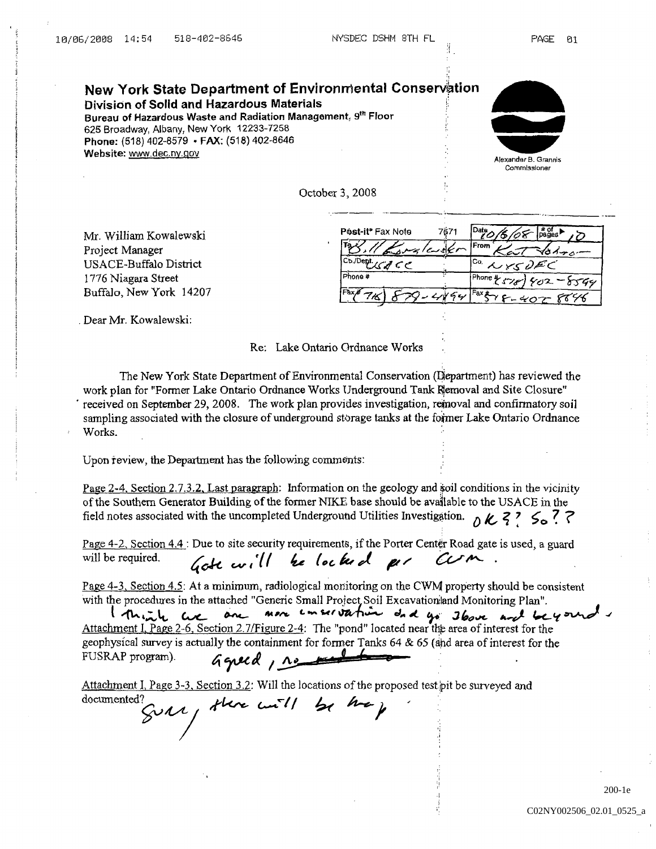New York State Department of Environmental Conservation Division of Solid and Hazardous Materials Bureau of Hazardous Waste and Radiation Management, 9th Floor 625 Broadway, Albany, New York 12233-7258 Phone: (518) 402-8579 • FAX: (518) 402-8646 Website: www.dec.ny.gov



**Commissioner** 

October3 2008

| Mr. William Kowalewski  | Post-it® Fax Note  | 7671                                                                 |
|-------------------------|--------------------|----------------------------------------------------------------------|
| Project Manager         | بردTi<br>Gralevskr | l From                                                               |
| USACE-Buffalo District  | Co./Dent.          | $1^{c_0}$ NYSUEC                                                     |
| 1776 Niagara Street     | Phone #            | $\left[\text{Phone }$ * $\left\{\text{True}\right\}$<br>$402 - 8544$ |
| Buffalo, New York 14207 | lFax#              | $r$ <sup>Faxt</sup> $Y$ $F - 402$                                    |

Dear Mr Kowalewski

Re: Lake Ontario Ordnance Works

The New York State Department of Environmental Conservation (Department) has reviewed the work plan for Former Lake Ontario Ordnance Works Underground Tank Riemoval and Site Closure received on September 29, 2008. The work plan provides investigation, removal and confirmatory soil sampling associated with the closure of underground storage tanks at the former Lake Ontario Ordnance Works.

Upon review, the Department has the following comments:

Page 2-4, Section 2.7.3.2, Last paragraph: Information on the geology and soil conditions in the vicinity of the Southern Generator Building of the former NIKE base should be available to the USACE in the field notes associated with the uncompleted Underground Utilities Investigation.  $\delta \mathcal{K}^2 \leq \mathcal{L}^2$ 

Page  $4-2$ , Section  $4.4$ : Due to site security requirements, if the Porter Center Road gate is used, a guard will be required. Gote will be locked per CUM.

Page 4-3. Section 4.5: At a minimum, radiological monitoring on the CWM property should be consistent with the procedures in the attached "Generic Small Project Soil Excavation and Monitoring Plan".

I think are one more emersionation and go above and beyoned Attachment I, Page 2-6, Section 2.7/Figure 2-4: The "pond" located near the area of interest for the geophysical survey is actually the containment for former Tanks 64 & 65 (ahd area of interest for the FUSRAP program).<br> $\begin{array}{ccc} \mathcal{A} \subset \mathcal{A} & \mathcal{A} \subset \mathcal{A} & \mathcal{A} \subset \mathcal{A} & \mathcal{A} \subset \mathcal{A} & \mathcal{A} \subset \mathcal{A} & \mathcal{A} \subset \mathcal{A} & \mathcal{$ FUSRAP program

Attachment I, Page  $3-3$ , Section 3.2: Will the locations of the proposed test pit be surveyed and

documented? SURI, there will be the p

200-1e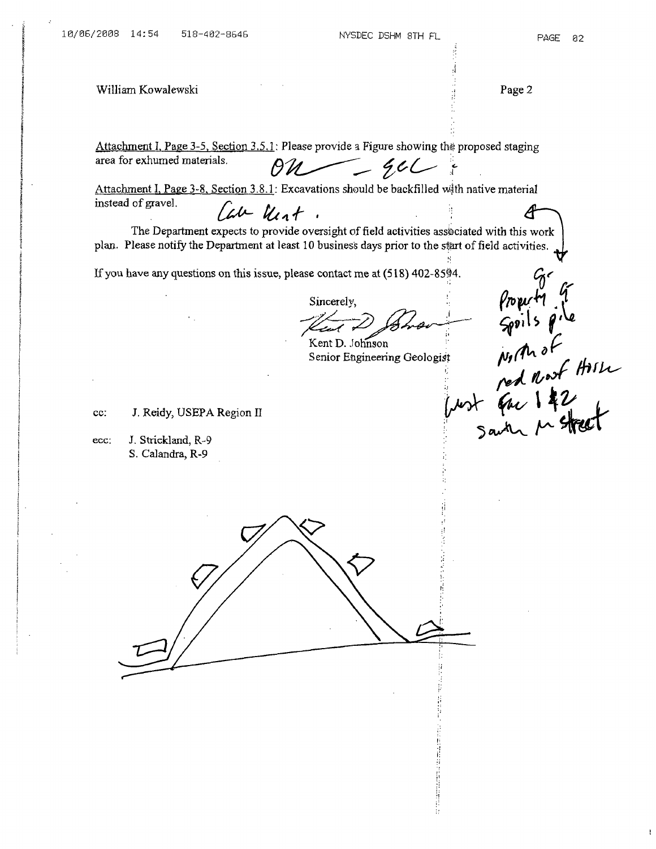William Kowalewski **Page 2** 

Attachment I, Page 3-5, Section 3.5.1: Please provide a Figure showing the proposed staging area for exhumed materials

 $\begin{picture}(20,10) \put(0,0){\dashbox{0.5}(5,0){ }} \put(15,0){\dashbox{0.5}(5,0){ }} \put(15,0){\dashbox{0.5}(5,0){ }} \put(15,0){\dashbox{0.5}(5,0){ }} \put(15,0){\dashbox{0.5}(5,0){ }} \put(15,0){\dashbox{0.5}(5,0){ }} \put(15,0){\dashbox{0.5}(5,0){ }} \put(15,0){\dashbox{0.5}(5,0){ }} \put(15,0){\dashbox{0.5}(5,0){ }} \put(15,0){\dashbox{0.5}(5,0){ }}$ 

Attachment I, Page 3-8, Section 3.8.1: Excavations should be backfilled with native material instead of gravel Can Unt. A

The Department expects to provide oversight of field activities assiociated with this work plan. Please notify the Department at least 10 business days prior to the start of field activities.

If you have any questions on this issue, please contact me at  $(518)$  402-85 $94$ .

Sincerely,<br>
Kent D. Johnson<br>
Senior Engineering Geologist Milh of<br>
Senior Engineering Geologist Milh ped Nort Hill<br>
ped Nort Gar 142<br>
Santa Metheet

Kent D. Johnson Senior Engineering Geologist

cc: J. Reidy, USEPA Region II

ecc: J. Strickland, R-9 S. Calandra, R-9

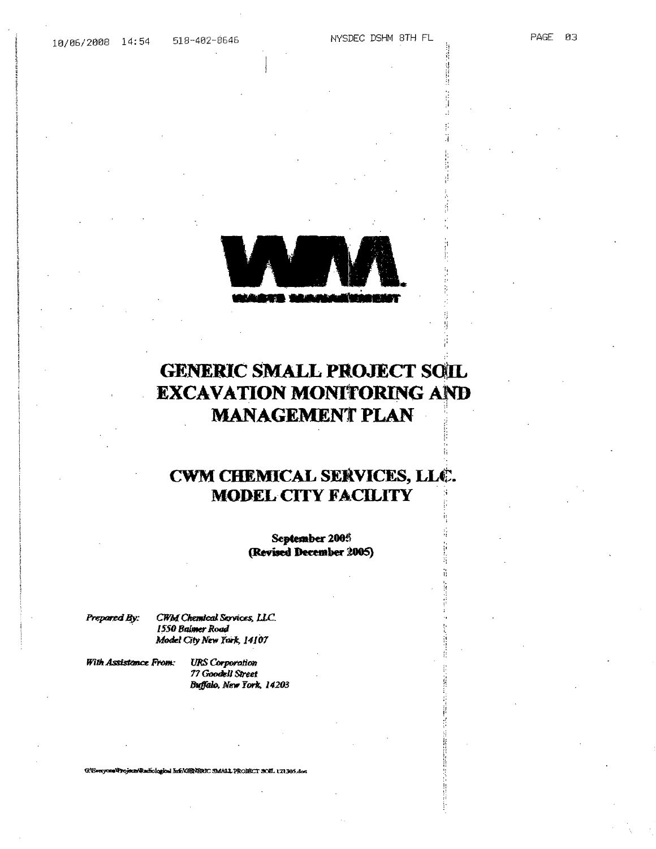**PAGE** 03

# **GENERIC SMALL PROJECT SOIL EXCAVATION MONITORING AND MANAGEMENT PLAN**

## CWM CHEMICAL SERVICES, LLC. **MODEL CITY FACILITY**

September 2005 (Revised December 2005)

Prepared By:

CWM Chemical Services, LLC. 1550 Balmer Road Model City New York, 14107

With Assistance From:

**URS** Corporation 77 Goodell Street Buffalo, New York, 14203

G: Everyone Projects Radiological Info CHR/HRIC SMALL PROJECT SOIL 121305.doc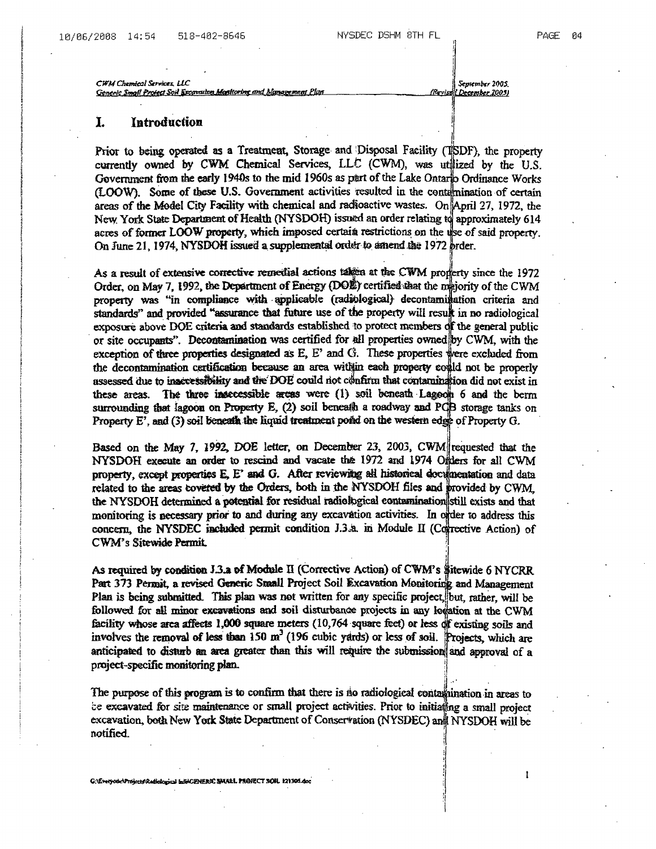$\mathbf{I}$ 

CWM Chemical Services LLC <u>Generic Small Project Soil Excavation Monitoring and Management Plan</u>

September 2005. (Revise LDecember 2005)

### I. Introduction

Prior to being operated as a Treatment, Storage and Disposal Facility (TSDF), the property currently owned by CWM Chemical Services, LLC (CWM), was utilized by the U.S. Government from the early 1940s to the mid 1960s as part of the Lake Ontario Ordinance Works (LOOW). Some of these U.S. Government activities resulted in the contamination of certain areas of the Model City Facility with chemical and radioactive wastes. On April 27, 1972, the New York State Department of Health (NYSDOH) issued an order relating to approximately 614 acres of former LOOW property, which imposed certain restrictions on the use of said property. On June 21, 1974, NYSDOH issued a supplemental order to amend the 1972 brder.

As a result of extensive corrective remedial actions taken at the CWM proferty since the 1972 Order, on May 7, 1992, the Department of Energy (DOE) certified that the maiority of the CWM property was "in compliance with applicable (radiological) decontamination criteria and standards" and provided "assurance that future use of the property will result in no radiological exposure above DOE criteria and standards established to protect members of the general public or site occupants". Decontamination was certified for all properties owned by CWM, with the exception of three properties designated as  $E$ ,  $E'$  and  $G$ . These properties were excluded from the decontamination certification because an area within each property could not be properly assessed due to inaccessibility and the DOE could not confirm that contamination did not exist in these areas. The three insecessible areas were  $(1)$  soil beneath Lagoon 6 and the berm surrounding that lagoon on Property E, (2) soil beneath a roadway and PCB storage tanks on Property  $E'$ , and (3) soil beneath the liquid treatment poind on the western edge of Property  $G$ .

Based on the May 7, 1992, DOE letter, on December 23, 2003, CWM requested that the NYSDOH execute an order to rescind and vacate the 1972 and 1974 Omlers for all CWM property, except properties E, E' and G. After reviewing all historical documentation and data related to the areas covered by the Orders, both in the NYSDOH files and provided by CWM, the NYSDOH determined a potential for residual radiological contamination still exists and that monitoring is necessary prior to and during any excavation activities. In order to address this concern, the NYSDEC included permit condition J.3.a. in Module II (Corrective Action) of CWM's Sitewide Permit.

As required by condition J.3.a of Module II (Corrective Action) of CWM's Sitewide 6 NYCRR Part 373 Permit, a revised Generic Small Project Soil Excavation Monitoring and Management Plan is being submitted. This plan was not written for any specific project but, rather, will be followed for all minor excavations and soil disturbance projects in any location at the CWM facility whose area affects 1,000 square meters (10,764 square feet) or less of existing soils and involves the removal of less than  $150 \text{ m}^3$  (196 cubic yards) or less of soil. Projects, which are anticipated to disturb an area greater than this will require the submission and approval of a project-specific monitoring plan.

The purpose of this program is to confirm that there is no radiological contamination in areas to be excavated for site maintenance or small project activities. Prior to initiating a small project excavation, both New York State Department of Conservation (NYSDEC) and NYSDOH will be notified.

G:\fivetyotic\Projects\Radiological heli+CENERIC SMALL PROJECT SOH. 121105.doc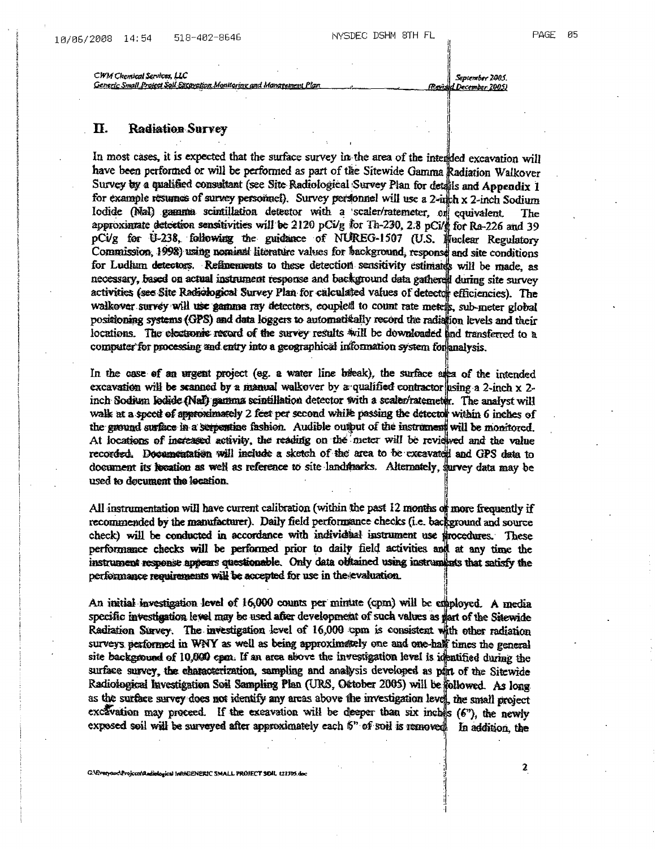CWM Chemical Services, LLC <u>Generic Small Project Soll Excavation Monitoring and Management Plan</u>

September 2005. Rond 1 December 2005)

### Π. **Radiation Survey**

In most cases, it is expected that the surface survey in the area of the interdded excavation will have been performed or will be performed as part of the Sitewide Gamma Radiation Walkover Survey by a qualified consultant (see Site Radiological Survey Plan for details and Appendix 1 for example resumes of survey personaet). Survey personnel will use a 2-nth x 2-inch Sodium Iodide (NaI) gamma scintillation detector with a scaler/ratemeter, or equivalent. The approximate detection sensitivities will be 2120 pCi/g for Th-230, 2.8 pCi/g for Ra-226 and 39 pCi/g for U-238, following the guidance of NUREG-1507 (U.S. Wuclear Regulatory Commission, 1998) using nominal literature values for background, response and site conditions for Ludham detectors. Refinements to these detection sensitivity estimates will be made, as necessary, based on actual instrument response and background data gathered during site survey activities (see Site Radiological Survey Plan for calculated values of detector efficiencies). The walkover survey will use gamma ray detectors, coupled to count rate metels, sub-meter global positioning systems (GPS) and data loggers to automatically record the radiation levels and their locations. The electronic record of the survey results will be downloaded and transferred to a computer for processing and entry into a geographical information system for analysis.

In the case of an urgent project (eg. a water line bileak), the surface also of the intended excavation will be scanned by a manual walkover by a qualified contractor sing a 2-inch  $x$  2inch Sodium ledide (Nal) gamma scintillation detector with a scaler/ratemeter. The analyst will walk at a speed of approximately 2 feet per second while passing the detector within 6 inches of the ground surface in a serpentine fashion. Audible output of the instrument will be monitored. At locations of increased activity, the reading on the meter will be reviewed and the value recorded. Decumentation will include a sketch of the area to be excavated and GPS data to document its bocation as well as reference to site landmarks. Alternately, survey data may be used to document the location.

All instrumentation will have current calibration (within the past 12 months of more frequently if recommended by the manufacturer). Daily field performance checks (i.e. background and source check) will be conducted in accordance with individual instrument use frocedures. These performance checks will be performed prior to daily field activities and at any time the instrument response appears questionable. Only data obtained using instruments that satisfy the performance requirements will be accepted for use in the evaluation.

An initial investigation level of 16,000 counts per minute (cpm) will be employed. A media specific investigation level may be used after development of such values as part of the Sitewide Radiation Survey. The investigation level of 16,000 cpm is consistent with other radiation surveys performed in WNY as well as being approximately one and one-half times the general site background of 10,000 cpm. If an area above the investigation level is identified during the surface survey, the characterization, sampling and analysis developed as purt of the Sitewide Radiological Investigation Soil Sampling Plan (URS, Ottober 2005) will be followed. As long as the surface survey does not identify any areas above the investigation level, the small project excavation may proceed. If the excavation will be deeper than six inches (6"), the newly exposed soil will be surveyed after approximately each 5" of soil is removed In addition, the

 $\boldsymbol{\mathsf{2}}$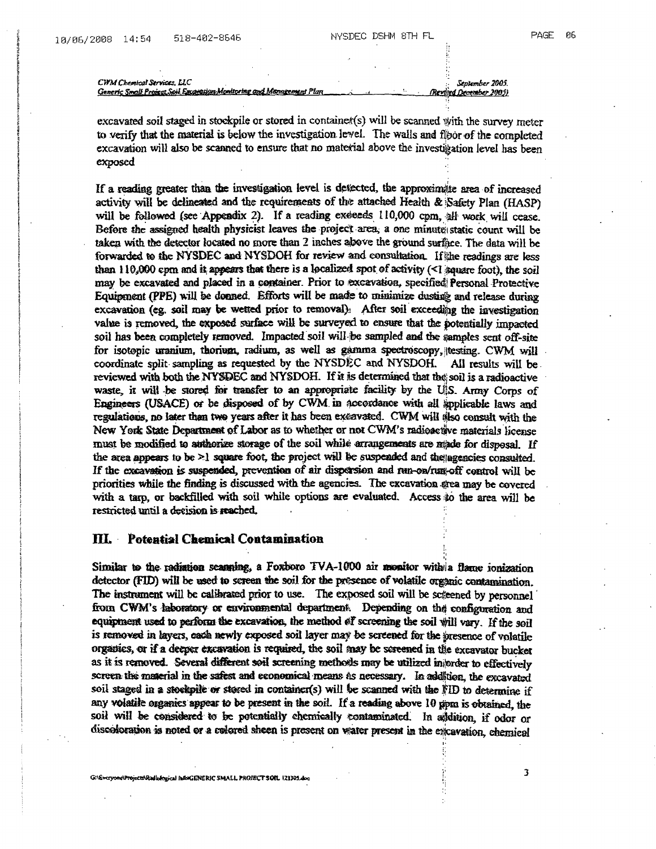CWM Chemical Services, LLC 3005. The contract of the contract of the contract of the contract 2005.

Generic Small Project Soil Excercion Monitoring and Management Plan

Revolved December 2005)

excavated soil staged in stockpile or stored in containet(s) will be scanned with the survey meter to verify that the material is below the investigation level. The walls and floor of the completed excavation will also be scanned to ensure that no material above the investigation level has been exposed

If a reading greater than the investigation level is detected, the approximate area of increased activity will be delineated and the requirements of the attached Health & Safety Plan (HASP) will be followed (see Appendix 2). If a reading exeeds 110,000 cpm, all work will cease. Before the assigned health physicist leaves the project area, a one minute static count will be taken with the detector located no more than 2 inches above the ground surface. The data will be forwarded to the NYSDEC and NYSDOH for review and consultation. If the readings are less than  $110,000$  cpm and it appears that there is a localized spot of activity  $\ll 1$  square foot), the soil may be excavated and placed in a container. Prior to excavation, specified Personal Protective Equipment (PPE) will be donned. Efforts will be made to minimize dusting and release during excavation (eg. soil may be wetted prior to removal). After soil exceeding the investigation value is removed, the exposed surface will be surveyed to ensure that the potentially impacted soil has been completely removed. Impacted soil will be sampled and the samples sent off-sire for isotopic uranium, thorium, radium, as well as gamma spectroscopy, testing. CWM will coordinate split sampling as requested by the NYSDEC and NYSDOH. All results will be reviewed with both the NYSDEC and NYSDOH. If it is determined that the soil is a radioactive waste, it will be stored for transfer to an appropriate facility by the UIS. Army Corps of Engineers (USACE) or be disposed of by CWM in accordance with all applicable laws and regulations, no later than two years after it has been excavated. CWM will also consult with the New York State Department of Labor as to whether or not CWM's radioactive materials license must be modified to authorize storage of the soil while arrangements are made for disposal. If the area appears to be  $\geq$  square foot, the project will be suspended and the agencies consulted. If the excavation is suspended, prevention of air dispersion and run-on/run-off control will be priorities while the finding is discussed with the agencies The excavation eea may be covered with a tarp, or backfilled with soil while options are evaluated. Access to the area will be restricted until a decision is reached.

### ilL Potential Chemical Contamination

Similar to the radiation scanning, a Foxboro TVA-1000 air monitor with a flame ionization detector (FID) will be used to screen the soil for the presence of volatile organic contamination. The instrument will be calibrated prior to use. The exposed soil will be screened by personnel from CWM's laboratory or environmental department. Depending on the configuration and equipment used to perform the excavation, the method of screening the soil will vary. If the soil is removed in layers, cath newly exposed soil layer may be screened for the presence of volatile organics, or if a deeper excavation is required, the soil may be sereened in the excavator bucket as it is removed. Several different soil screening methods may be utilized injorder to effectively screen the material in the safest and economical means is necessary. In addition, the excavated soil staged in a stockpile or stored in container(s) will be scanned with the FID to determine if<br>any volatile organics appear to be present in the soil. If a reading above 10 ppm is obtained, the soil will be considered to be potentially chemically contaminated. In addition, if odor or discoloration is noted or a colored sheen is present on water present in the excavation, chemical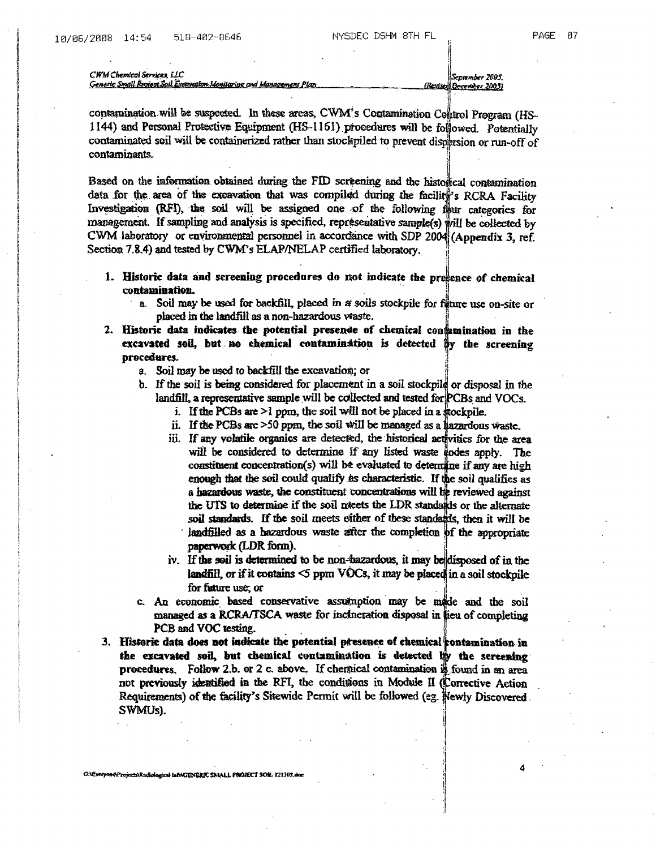CWM Chemical Services, LLC <u>Generic Small Bronnet Soil Economical Monitoring and Management Plan</u>

September 2005 (Revised December 2003)

contamination will be suspected. In these areas, CWM's Contamination Colltrol Program (HS-1144) and Personal Protective Equipment (HS-1161) procedures will be followed. Potentially contaminated soil will be containerized rather than stockpiled to prevent dispersion or run-off of contaminants.

Based on the information obtained during the FID screening and the historical contamination data for the area of the excavation that was compiled during the facility's RCRA Facility Investigation (RFI), the soil will be assigned one of the following flur categories for management. If sampling and analysis is specified, representative sample(s) will be collected by CWM laboratory or environmental personnel in accordance with SDP 2004 (Appendix 3, ref. Section 7.8.4) and tested by CWM's ELAP/NELAP certified laboratory.

- 1. Historic data and screening procedures do not indicate the presence of chemical contamination.
	- a. Soil may be used for backfill, placed in a soils stockpile for figure use on-site or placed in the landfill as a non-hazardous waste.
- 2. Historic data indicates the potential presence of chemical confamination in the excavated soil, but no chemical contamination is detected by the screening procedures.
	- a. Soil may be used to backfill the excavation; or
	- b. If the soil is being considered for placement in a soil stockpile or disposal in the landfill, a representative sample will be collected and tested for  $PCBs$  and  $VOCs$ .
		- i. If the PCBs are >1 ppm, the soil will not be placed in a mockpile.
		- ii. If the PCBs are >50 ppm, the soil will be managed as a hazardous waste.
		- iii. If any volatile organics are detected, the historical activities for the area will be considered to determine if any listed waste hodes apply. The constituent concentration(s) will be evaluated to determine if any are high enough that the soil could qualify as characteristic. If the soil qualifies as a hazardous waste, the constituent concentrations will be reviewed against the UTS to determine if the soil netets the LDR standards or the alternate soil standards. If the soil meets either of these standards, then it will be landfilled as a hazardous waste after the completion of the appropriate paperwork (LDR form).
		- iv. If the soil is determined to be non-hazardous, it may be disposed of in the landfill, or if it contains  $\leq$  ppm VOCs, it may be placed in a soil stockpile for future use; or
	- c. An economic based conservative assumption may be made and the soil managed as a RCRA/TSCA waste for inclueration disposal in lieu of completing PCB and VOC testing.
- 3. Historic data does not indicate the potential presence of chemical contamination in the excavated soil, but chemical contamination is detected by the sereening procedures. Follow 2.b. or 2 c. above. If chemical contamination is found in an area not previously identified in the RFI, the conditions in Module II (Corrective Action Requirements) of the facility's Sitewide Permit will be followed (eg. Wewly Discovered. SWMU<sub>5</sub>).

G.\Everyon&Projects\Radiological InfoICENERIC SMALL PNOJECT SON. 121307.do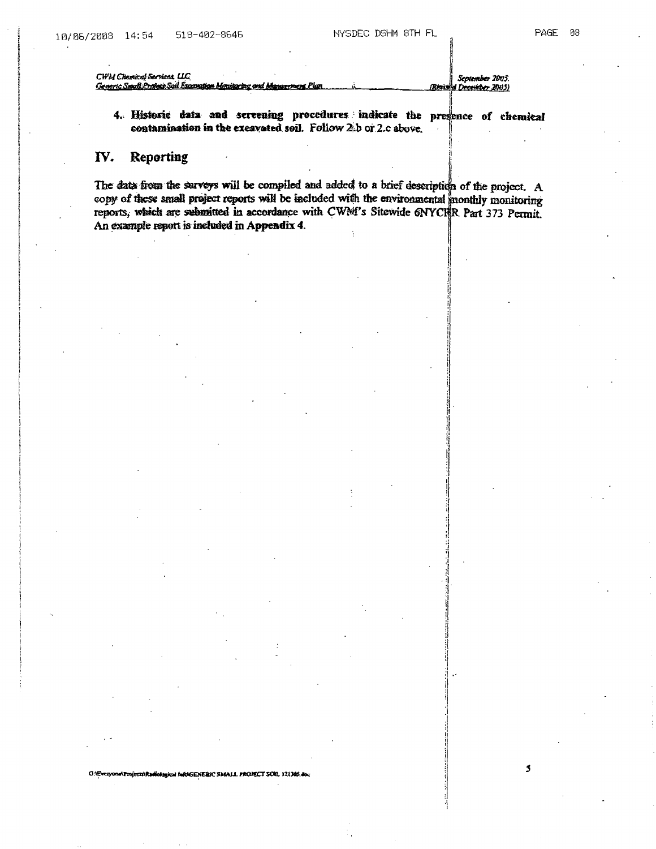$\mathbf{3}$ 

| CWM Chemical Secritors, LLC                                        | September 2005.               |
|--------------------------------------------------------------------|-------------------------------|
| Generic Small Project Soil Examption Manipulng and Management Plan | <b>Rious d December 2005)</b> |
|                                                                    |                               |

4. Historic data and sereening procedures indicate the presence of chemical contamination in the excavated soil. Follow 2.b or 2.c above.

### IV. Reporting

ONEveryone\Projects\Radiological faEAGENERIC SMALL PROJECT SOIL 121305.doc

The data from the surveys will be compiled and added to a brief description of the project. A copy of these small project reports will be included with the environmental monthly monitoring reports, which are submitted in accordance with CWM's Sitewide 6NYCHR Part 373 Permit. An example report is included in Appendix 4.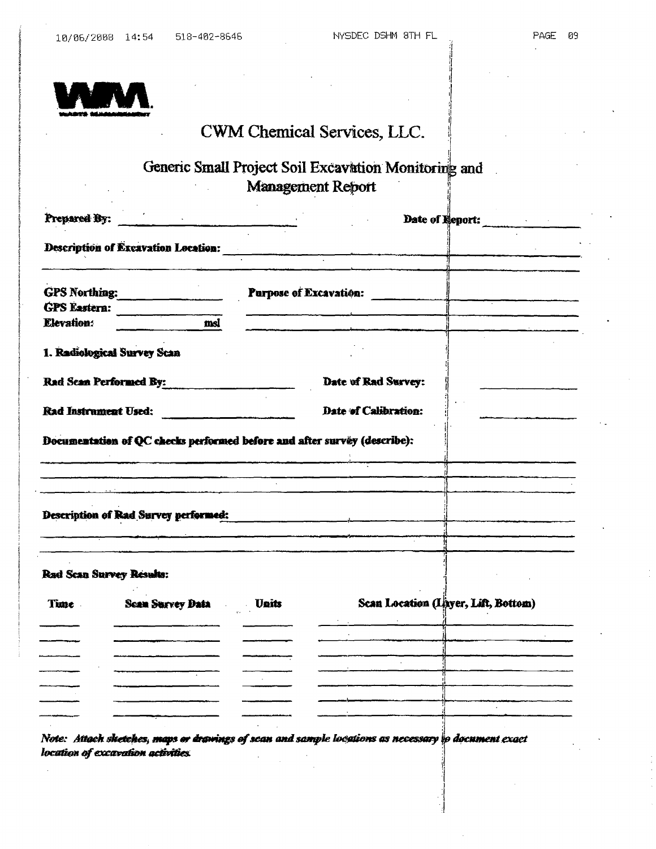

## CWM Chemical Services, LLC.

## Generic Small Project Soil Excavation Monitoring and **Management Report**

| Prepared By:        |                                                                          |              |                               | Date of Report:                     |  |
|---------------------|--------------------------------------------------------------------------|--------------|-------------------------------|-------------------------------------|--|
|                     | <b>Description of Excavation Location:</b>                               |              |                               |                                     |  |
|                     |                                                                          |              |                               |                                     |  |
|                     | GPS Northing:                                                            |              | <b>Purpose of Excavation:</b> |                                     |  |
| <b>GPS</b> Eastern: |                                                                          |              |                               |                                     |  |
| <b>Elevation:</b>   | msl                                                                      |              |                               |                                     |  |
|                     | 1. Radiological Survey Scan                                              |              |                               |                                     |  |
|                     | <b>Rad Scan Performed By:</b>                                            |              | Date of Rad Survey:           |                                     |  |
|                     | <b>Rad Instrument Used:</b>                                              |              | Date of Calibration:          |                                     |  |
|                     | Documentation of QC checks performed before and after survey (describe): |              |                               |                                     |  |
|                     |                                                                          |              |                               |                                     |  |
|                     | Description of Rad Survey performed:                                     |              |                               |                                     |  |
|                     | Rad Scan Survey Results:                                                 |              |                               |                                     |  |
| Time.               | <b>Sean Survey Data</b>                                                  | <b>Units</b> |                               | Scan Location (Layer, Lift, Bottom) |  |
|                     |                                                                          |              |                               | $\frac{1}{\sqrt{2}}$                |  |
|                     |                                                                          |              |                               |                                     |  |
|                     |                                                                          |              |                               |                                     |  |
|                     |                                                                          |              |                               |                                     |  |
|                     |                                                                          |              |                               |                                     |  |
|                     |                                                                          |              |                               |                                     |  |
|                     |                                                                          |              |                               |                                     |  |

Note: Attach sketches, maps or drawings of scan and sample locations as necessary to document exact location of excavation activities.